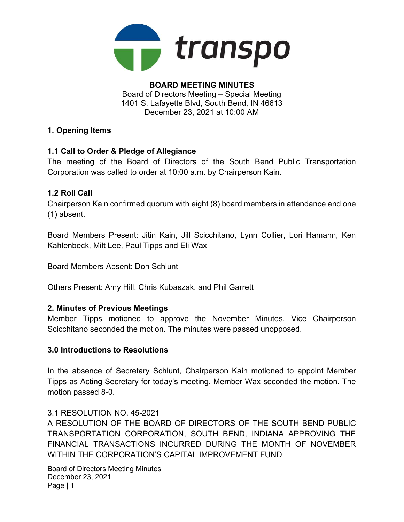

# BOARD MEETING MINUTES

Board of Directors Meeting – Special Meeting 1401 S. Lafayette Blvd, South Bend, IN 46613 December 23, 2021 at 10:00 AM

## 1. Opening Items

# 1.1 Call to Order & Pledge of Allegiance

The meeting of the Board of Directors of the South Bend Public Transportation Corporation was called to order at 10:00 a.m. by Chairperson Kain.

# 1.2 Roll Call

Chairperson Kain confirmed quorum with eight (8) board members in attendance and one (1) absent.

Board Members Present: Jitin Kain, Jill Scicchitano, Lynn Collier, Lori Hamann, Ken Kahlenbeck, Milt Lee, Paul Tipps and Eli Wax

Board Members Absent: Don Schlunt

Others Present: Amy Hill, Chris Kubaszak, and Phil Garrett

## 2. Minutes of Previous Meetings

Member Tipps motioned to approve the November Minutes. Vice Chairperson Scicchitano seconded the motion. The minutes were passed unopposed.

### 3.0 Introductions to Resolutions

In the absence of Secretary Schlunt, Chairperson Kain motioned to appoint Member Tipps as Acting Secretary for today's meeting. Member Wax seconded the motion. The motion passed 8-0.

### 3.1 RESOLUTION NO. 45-2021

A RESOLUTION OF THE BOARD OF DIRECTORS OF THE SOUTH BEND PUBLIC TRANSPORTATION CORPORATION, SOUTH BEND, INDIANA APPROVING THE FINANCIAL TRANSACTIONS INCURRED DURING THE MONTH OF NOVEMBER WITHIN THE CORPORATION'S CAPITAL IMPROVEMENT FUND

Board of Directors Meeting Minutes December 23, 2021 Page | 1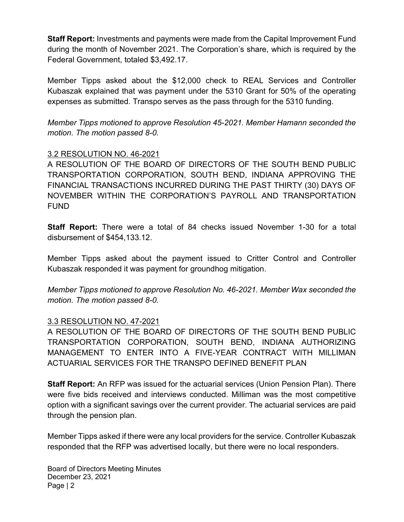Staff Report: Investments and payments were made from the Capital Improvement Fund during the month of November 2021. The Corporation's share, which is required by the Federal Government, totaled \$3,492.17.

Member Tipps asked about the \$12,000 check to REAL Services and Controller Kubaszak explained that was payment under the 5310 Grant for 50% of the operating expenses as submitted. Transpo serves as the pass through for the 5310 funding.

Member Tipps motioned to approve Resolution 45-2021. Member Hamann seconded the motion. The motion passed 8-0.

## 3.2 RESOLUTION NO. 46-2021

A RESOLUTION OF THE BOARD OF DIRECTORS OF THE SOUTH BEND PUBLIC TRANSPORTATION CORPORATION, SOUTH BEND, INDIANA APPROVING THE FINANCIAL TRANSACTIONS INCURRED DURING THE PAST THIRTY (30) DAYS OF NOVEMBER WITHIN THE CORPORATION'S PAYROLL AND TRANSPORTATION FUND

Staff Report: There were a total of 84 checks issued November 1-30 for a total disbursement of \$454,133.12.

Member Tipps asked about the payment issued to Critter Control and Controller Kubaszak responded it was payment for groundhog mitigation.

Member Tipps motioned to approve Resolution No. 46-2021. Member Wax seconded the motion. The motion passed 8-0.

### 3.3 RESOLUTION NO. 47-2021

A RESOLUTION OF THE BOARD OF DIRECTORS OF THE SOUTH BEND PUBLIC TRANSPORTATION CORPORATION, SOUTH BEND, INDIANA AUTHORIZING MANAGEMENT TO ENTER INTO A FIVE-YEAR CONTRACT WITH MILLIMAN ACTUARIAL SERVICES FOR THE TRANSPO DEFINED BENEFIT PLAN

Staff Report: An RFP was issued for the actuarial services (Union Pension Plan). There were five bids received and interviews conducted. Milliman was the most competitive option with a significant savings over the current provider. The actuarial services are paid through the pension plan.

Member Tipps asked if there were any local providers for the service. Controller Kubaszak responded that the RFP was advertised locally, but there were no local responders.

Board of Directors Meeting Minutes December 23, 2021 Page | 2